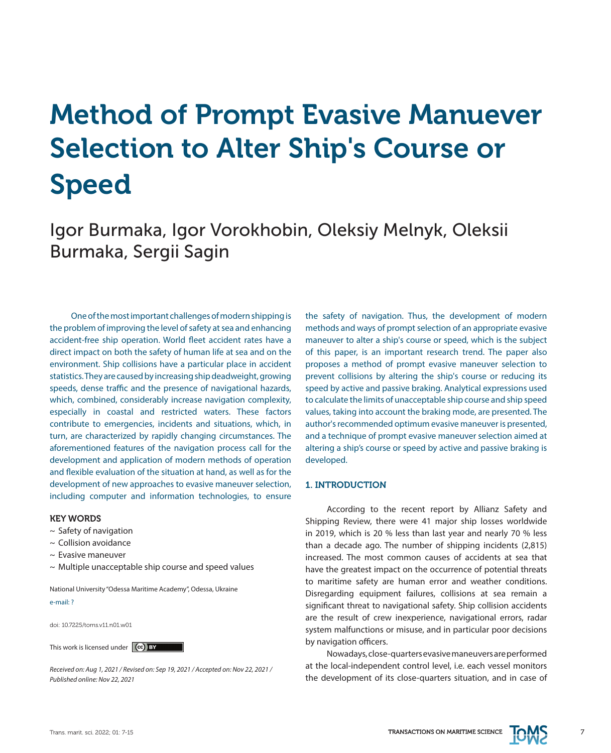# Method of Prompt Evasive Manuever Selection to Alter Ship's Course or Speed

Igor Burmaka, Igor Vorokhobin, Oleksiy Melnyk, Oleksii Burmaka, Sergii Sagin

One of the most important challenges of modern shipping is the problem of improving the level of safety at sea and enhancing accident-free ship operation. World fleet accident rates have a direct impact on both the safety of human life at sea and on the environment. Ship collisions have a particular place in accident statistics. They are caused by increasing ship deadweight, growing speeds, dense traffic and the presence of navigational hazards, which, combined, considerably increase navigation complexity, especially in coastal and restricted waters. These factors contribute to emergencies, incidents and situations, which, in turn, are characterized by rapidly changing circumstances. The aforementioned features of the navigation process call for the development and application of modern methods of operation and flexible evaluation of the situation at hand, as well as for the development of new approaches to evasive maneuver selection, including computer and information technologies, to ensure

## KEY WORDS

- $\sim$  Safety of navigation
- ~ Collision avoidance
- $\sim$  Evasive maneuver
- ~ Multiple unacceptable ship course and speed values

National University "Odessa Maritime Academy", Odessa, Ukraine

#### e-mail: ?

doi: 10.7225/toms.v11.n01.w01

This work is licensed under  $(cc)$  BY

*Received on: Aug 1, 2021 / Revised on: Sep 19, 2021 / Accepted on: Nov 22, 2021 / Published online: Nov 22, 2021*

the safety of navigation. Thus, the development of modern methods and ways of prompt selection of an appropriate evasive maneuver to alter a ship's course or speed, which is the subject of this paper, is an important research trend. The paper also proposes a method of prompt evasive maneuver selection to prevent collisions by altering the ship's course or reducing its speed by active and passive braking. Analytical expressions used to calculate the limits of unacceptable ship course and ship speed values, taking into account the braking mode, are presented. The author's recommended optimum evasive maneuver is presented, and a technique of prompt evasive maneuver selection aimed at altering a ship's course or speed by active and passive braking is developed.

## 1. INTRODUCTION

According to the recent report by Allianz Safety and Shipping Review, there were 41 major ship losses worldwide in 2019, which is 20 % less than last year and nearly 70 % less than a decade ago. The number of shipping incidents (2,815) increased. The most common causes of accidents at sea that have the greatest impact on the occurrence of potential threats to maritime safety are human error and weather conditions. Disregarding equipment failures, collisions at sea remain a significant threat to navigational safety. Ship collision accidents are the result of crew inexperience, navigational errors, radar system malfunctions or misuse, and in particular poor decisions by navigation officers.

Nowadays, close-quarters evasive maneuvers are performed at the local-independent control level, i.e. each vessel monitors the development of its close-quarters situation, and in case of

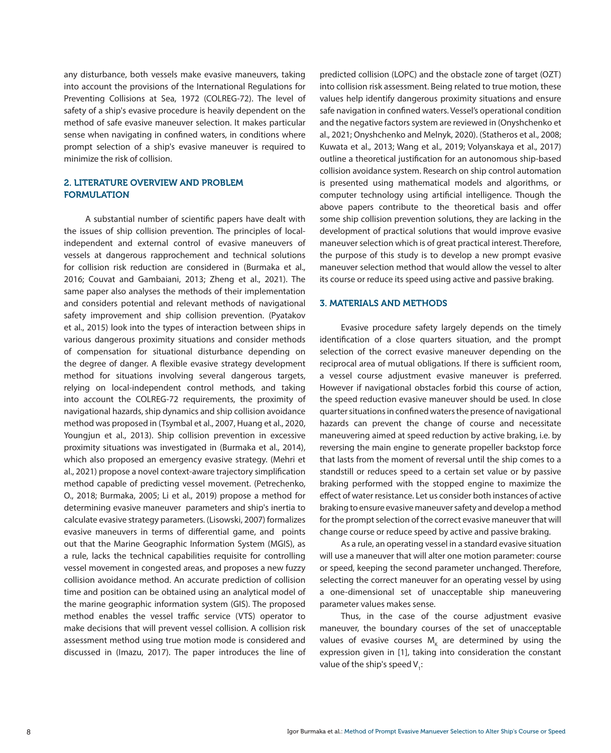any disturbance, both vessels make evasive maneuvers, taking into account the provisions of the International Regulations for Preventing Collisions at Sea, 1972 (COLREG-72). The level of safety of a ship's evasive procedure is heavily dependent on the method of safe evasive maneuver selection. It makes particular sense when navigating in confined waters, in conditions where prompt selection of a ship's evasive maneuver is required to minimize the risk of collision.

# 2. LITERATURE OVERVIEW AND PROBLEM FORMULATION

A substantial number of scientific papers have dealt with the issues of ship collision prevention. The principles of localindependent and external control of evasive maneuvers of vessels at dangerous rapprochement and technical solutions for collision risk reduction are considered in (Burmaka et al., 2016; Couvat and Gambaiani, 2013; Zheng et al., 2021). The same paper also analyses the methods of their implementation and considers potential and relevant methods of navigational safety improvement and ship collision prevention. (Pyatakov et al., 2015) look into the types of interaction between ships in various dangerous proximity situations and consider methods of compensation for situational disturbance depending on the degree of danger. A flexible evasive strategy development method for situations involving several dangerous targets, relying on local-independent control methods, and taking into account the COLREG-72 requirements, the proximity of navigational hazards, ship dynamics and ship collision avoidance method was proposed in (Tsymbal et al., 2007, Huang et al., 2020, Youngjun et al., 2013). Ship collision prevention in excessive proximity situations was investigated in (Burmaka et al., 2014), which also proposed an emergency evasive strategy. (Mehri et al., 2021) propose a novel context-aware trajectory simplification method capable of predicting vessel movement. (Petrechenko, O., 2018; Burmaka, 2005; Li et al., 2019) propose a method for determining evasive maneuver parameters and ship's inertia to calculate evasive strategy parameters. (Lisowski, 2007) formalizes evasive maneuvers in terms of differential game, and points out that the Marine Geographic Information System (MGIS), as a rule, lacks the technical capabilities requisite for controlling vessel movement in congested areas, and proposes a new fuzzy collision avoidance method. An accurate prediction of collision time and position can be obtained using an analytical model of the marine geographic information system (GIS). The proposed method enables the vessel traffic service (VTS) operator to make decisions that will prevent vessel collision. A collision risk assessment method using true motion mode is considered and discussed in (Imazu, 2017). The paper introduces the line of predicted collision (LOPC) and the obstacle zone of target (OZT) into collision risk assessment. Being related to true motion, these values help identify dangerous proximity situations and ensure safe navigation in confined waters. Vessel's operational condition and the negative factors system are reviewed in (Onyshchenko et al., 2021; Onyshchenko and Melnyk, 2020). (Statheros et al., 2008; Kuwata et al., 2013; Wang et al., 2019; Volyanskaya et al., 2017) outline a theoretical justification for an autonomous ship-based collision avoidance system. Research on ship control automation is presented using mathematical models and algorithms, or computer technology using artificial intelligence. Though the above papers contribute to the theoretical basis and offer some ship collision prevention solutions, they are lacking in the development of practical solutions that would improve evasive maneuver selection which is of great practical interest. Therefore, the purpose of this study is to develop a new prompt evasive maneuver selection method that would allow the vessel to alter its course or reduce its speed using active and passive braking.

### 3. MATERIALS AND METHODS

Evasive procedure safety largely depends on the timely identification of a close quarters situation, and the prompt selection of the correct evasive maneuver depending on the reciprocal area of mutual obligations. If there is sufficient room, a vessel course adjustment evasive maneuver is preferred. However if navigational obstacles forbid this course of action, the speed reduction evasive maneuver should be used. In close quarter situations in confined waters the presence of navigational hazards can prevent the change of course and necessitate maneuvering aimed at speed reduction by active braking, i.e. by reversing the main engine to generate propeller backstop force that lasts from the moment of reversal until the ship comes to a standstill or reduces speed to a certain set value or by passive braking performed with the stopped engine to maximize the effect of water resistance. Let us consider both instances of active braking to ensure evasive maneuver safety and develop a method for the prompt selection of the correct evasive maneuver that will change course or reduce speed by active and passive braking.

As a rule, an operating vessel in a standard evasive situation will use a maneuver that will alter one motion parameter: course or speed, keeping the second parameter unchanged. Therefore, selecting the correct maneuver for an operating vessel by using a one-dimensional set of unacceptable ship maneuvering parameter values makes sense.

Thus, in the case of the course adjustment evasive maneuver, the boundary courses of the set of unacceptable values of evasive courses  $M_{K}$  are determined by using the expression given in [1], taking into consideration the constant value of the ship's speed V<sub>1</sub>: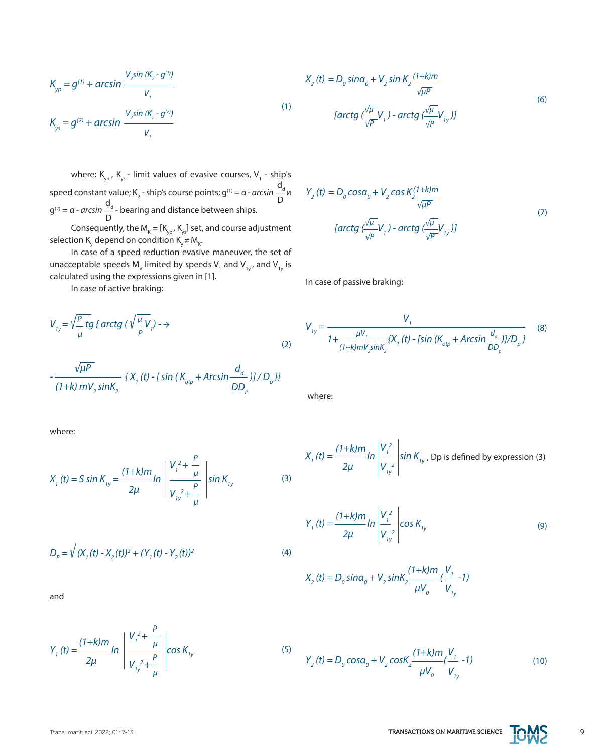*2μ*

$$
D
$$
\nConsequently, the M<sub>K</sub> = [K<sub>yp</sub>, K<sub>ys</sub>] set, and course adjustment  
\nselection K<sub>y</sub> depend on condition K<sub>y</sub> ≠ M<sub>k</sub>.  
\nIn case of a speed reduction evasive maneuver, the set of  
\nunacceptable speeds M<sub>v</sub> limited by speeds V<sub>1</sub> and V<sub>1y</sub>, and V<sub>1y</sub> is

 $\mathsf{d}_{\mathsf{d}}$  begins and distance between ships

where:  $\mathsf{K}_{\mathsf{yp}}$ ,  $\mathsf{K}_{\mathsf{ys}}$  - limit values of evasive courses,  $\mathsf{V}_{1}$  - ship's

speed constant value; K<sub>2</sub> - ship's course points; g<sup>(1)</sup> = *α - arcsin* — ди

 $g<sup>(2)</sup> = a - arcsin −<sup>a</sup> - bearing and distance between ships.$ 

calculated using the expressions given in [1]. In case of active braking:

*K yp = g(1) + arcsin* 

*V*<sub>2</sub>sin (K<sub>2</sub> - g<sup>(1)</sup>) *V1 V*<sub>2</sub>sin (K<sub>2</sub> - g<sup>(2)</sup>) *V1*

 $K_{\!{}_{y\text{s}}} = g^{(2)} + \text{arcsin}$ 

$$
V_{ij} = \sqrt{\frac{P}{\mu}} \, \text{tg} \, \{ \arctg \, (\sqrt{\frac{\mu}{P}} V_i) \to \tag{2}
$$

$$
-\frac{\sqrt{\mu P}}{(1+k) m V_2 \sin K_2} \left\{ X_1(t) - \left[ \sin \left( K_{\text{otp}} + \text{Arcsin} \frac{d_d}{DD_p} \right) \right] / D_p \right\}
$$

where:

$$
X_{1}(t) = S \sin K_{1y} = \frac{(1+k)m}{2\mu} \ln \left| \frac{V_{1}^{2} + \frac{P}{\mu}}{V_{1y}^{2} + \frac{P}{\mu}} \right| \sin K_{1y}
$$

 $Y_1(t) = \frac{(1+k)m}{2} ln \left| \frac{t_1}{t_2} + \frac{\mu}{2} \right| cos K_{ty}$  (5)

$$
D_p = \sqrt{(X_1(t) - X_2(t))^2 + (Y_1(t) - Y_2(t))^2}
$$

 $V_1^2 +$ 

*P μ P μ*

 $V_{1y}^2 +$ 

and

$$
X_2(t) = D_0 \sin\alpha_0 + V_2 \sin K_2 \frac{(1+k)m}{\sqrt{\mu P}}
$$
  
(1)  

$$
[arctg \left(\frac{\sqrt{\mu}}{\sqrt{P}}V_1\right) - arctg \left(\frac{\sqrt{\mu}}{\sqrt{P}}V_{1y}\right)]
$$
 (6)

$$
Y_2(t) = D_0 \cos\alpha_0 + V_2 \cos K_2 \frac{(1+k)m}{\sqrt{\mu P}}
$$
  
\n[*arctg*  $\frac{\sqrt{\mu}}{\sqrt{p}} V_1$ ) - *arctg*  $\frac{\sqrt{\mu}}{\sqrt{p}} V_{1y}$ )] (7)

In case of passive braking:

$$
V_{1y} = \frac{V_1}{1 + \frac{\mu V_1}{(1 + k)mV_2 \sin K_2} \{X_1(t) - [sin (K_{otp} + Arcsin \frac{d_d}{DD_p})]/D_p} }
$$
(8)

where:

$$
X_{1}(t) = \frac{(1+k)m}{2\mu} ln \left| \frac{V_{1}^{2}}{V_{1y}^{2}} \right| sin K_{1y}
$$
, *Dp is defined by expression (3)*

$$
Y_{1}(t) = \frac{(1+k)m}{2\mu} ln \left| \frac{V_{1}^{2}}{V_{1y}^{2}} \right| cos K_{1y}
$$
 (9)

$$
X_2(t) = D_0 \sin \alpha_0 + V_2 \sin \frac{(1+k)m}{\mu V_0} (\frac{V_1}{V_{1y}} - 1)
$$

$$
Y_2(t) = D_0 \cos\alpha_0 + V_2 \cos\alpha_2 \frac{(1+k)m}{\mu V_0} (\frac{V_1}{V_{1y}} - 1)
$$
 (10)

Trans. marit. sci. 2022; 01: 7-15 **TRANSACTIONS ON MARITIME SCIENCE TOMS** 9



(4)

(3)

 $\mathsf{d}_{\mathsf{d}}$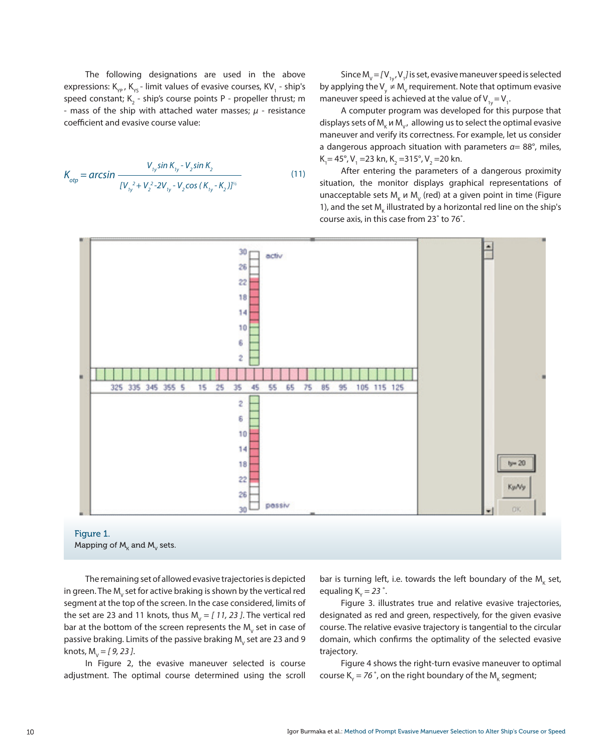The following designations are used in the above expressions: K<sub>yp</sub>, K<sub>ys</sub> - limit values of evasive courses, KV<sub>1</sub> - ship's speed constant; K<sub>2</sub> - ship's course points P - propeller thrust; m - mass of the ship with attached water masses; *μ* - resistance coefficient and evasive course value:

$$
K_{otp} = \arcsin \frac{V_{1y} \sin K_{1y} - V_2 \sin K_2}{[V_{1y}^2 + V_2^2 - 2V_{1y} - V_2 \cos (K_{1y} - K_2)]^{1/2}}
$$
(11)

Since  $M_{v} = [V_{1y}, V_{1}]$  is set, evasive maneuver speed is selected by applying the V<sub>y</sub>  $\neq$  M<sub>v</sub> requirement. Note that optimum evasive maneuver speed is achieved at the value of  $\mathsf{V}_{_{1y}}\!=\!\mathsf{V}_{_{1}}\!.$ 

A computer program was developed for this purpose that displays sets of M<sub>K</sub> и M<sub>V</sub>, allowing us to select the optimal evasive maneuver and verify its correctness. For example, let us consider a dangerous approach situation with parameters *α*= 88°, miles,  $K_1 = 45^\circ$ , V<sub>1</sub> = 23 kn, K<sub>2</sub> = 315°, V<sub>2</sub> = 20 kn.

After entering the parameters of a dangerous proximity situation, the monitor displays graphical representations of unacceptable sets  $M_{\kappa}$   $\mu$  M<sub>v</sub> (red) at a given point in time (Figure 1), and the set  $M_{\rm K}$  illustrated by a horizontal red line on the ship's course axis, in this case from 23˚ to 76˚.



The remaining set of allowed evasive trajectories is depicted in green. The M $_{\mathrm{v}}$  set for active braking is shown by the vertical red segment at the top of the screen. In the case considered, limits of the set are 23 and 11 knots, thus  $M_{\text{V}} = [11, 23]$ . The vertical red bar at the bottom of the screen represents the  $\mathsf{M}_{\mathsf{V}}$  set in case of passive braking. Limits of the passive braking  $\mathsf{M}_{\mathsf{V}}$  set are 23 and 9 knots, M<sub>v</sub> = [ 9, 23 ].

In Figure 2, the evasive maneuver selected is course adjustment. The optimal course determined using the scroll

bar is turning left, i.e. towards the left boundary of the  $\mathsf{M}_{\kappa}$  set, equaling  $K_{\gamma} = 23$   $^{\circ}$ .

Figure 3. illustrates true and relative evasive trajectories, designated as red and green, respectively, for the given evasive course. The relative evasive trajectory is tangential to the circular domain, which confirms the optimality of the selected evasive trajectory.

Figure 4 shows the right-turn evasive maneuver to optimal course K $_{\rm y}$  = 76  $^{\circ}$ , on the right boundary of the M $_{\rm K}$  segment;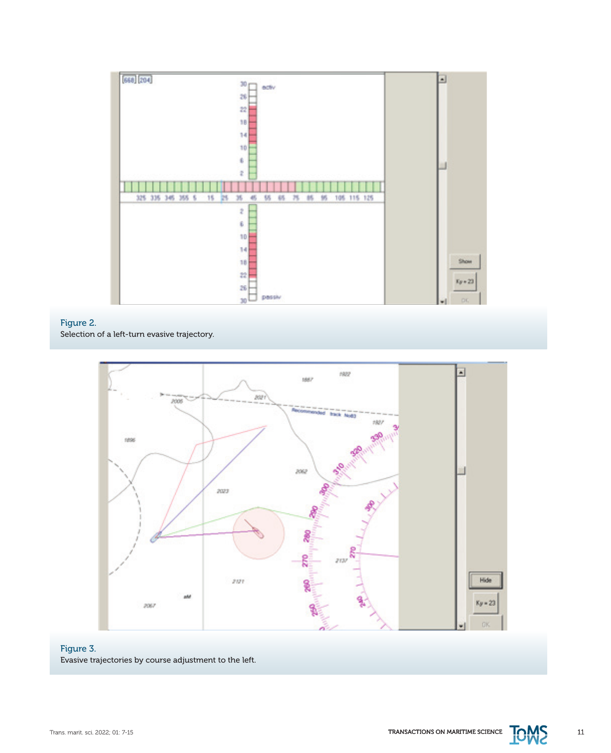

# Figure 2.

Selection of a left-turn evasive trajectory.



# Figure 3. Evasive trajectories by course adjustment to the left.

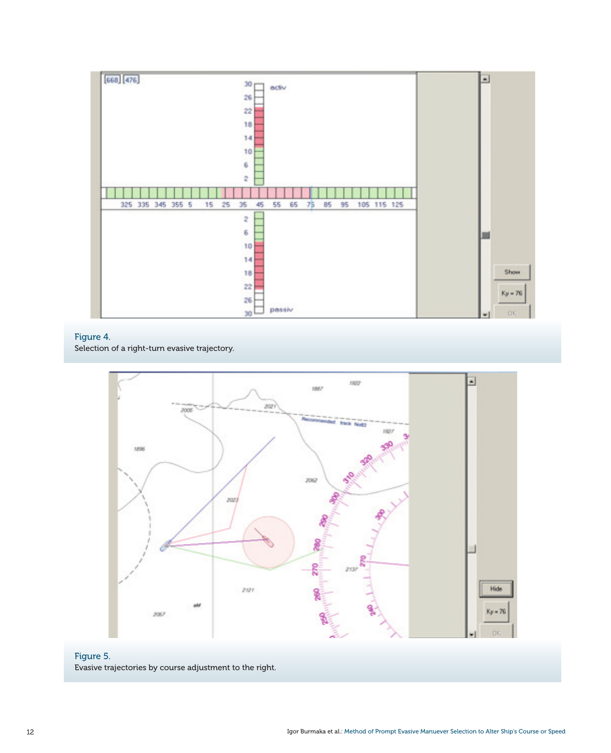

# Figure 4.

Selection of a right-turn evasive trajectory.



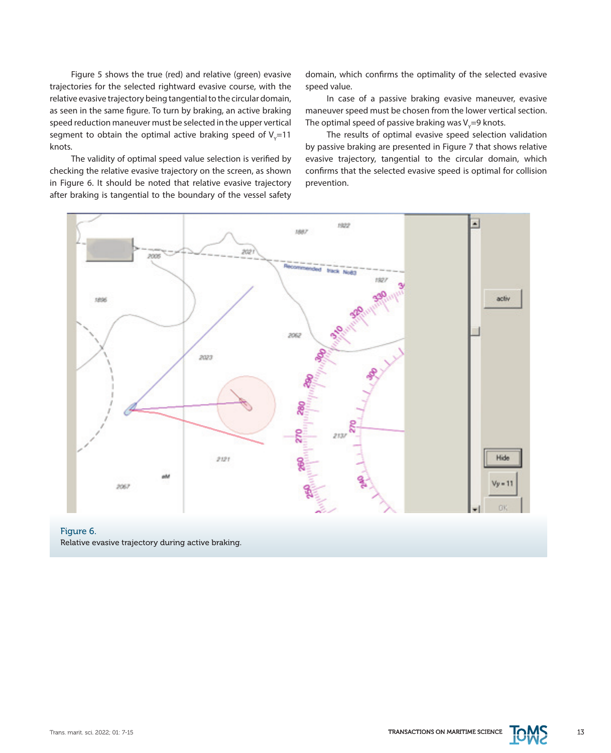Figure 5 shows the true (red) and relative (green) evasive trajectories for the selected rightward evasive course, with the relative evasive trajectory being tangential to the circular domain, as seen in the same figure. To turn by braking, an active braking speed reduction maneuver must be selected in the upper vertical segment to obtain the optimal active braking speed of  $\mathsf{V}_{\mathsf{y}}\!\!=\!\!11$ knots.

The validity of optimal speed value selection is verified by checking the relative evasive trajectory on the screen, as shown in Figure 6. It should be noted that relative evasive trajectory after braking is tangential to the boundary of the vessel safety domain, which confirms the optimality of the selected evasive speed value.

In case of a passive braking evasive maneuver, evasive maneuver speed must be chosen from the lower vertical section. The optimal speed of passive braking was V<sub>y</sub>=9 knots.

The results of optimal evasive speed selection validation by passive braking are presented in Figure 7 that shows relative evasive trajectory, tangential to the circular domain, which confirms that the selected evasive speed is optimal for collision prevention.



Figure 6. Relative evasive trajectory during active braking.

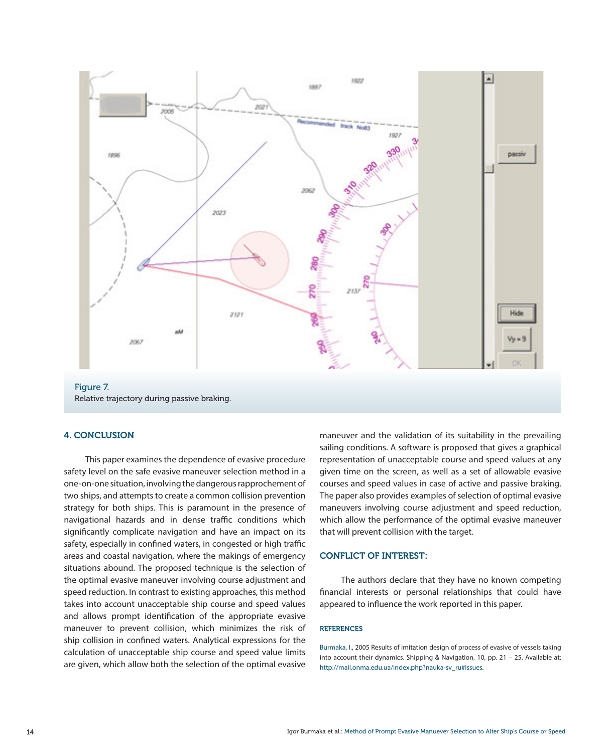

Relative trajectory during passive braking.

## 4. CONCLUSION

This paper examines the dependence of evasive procedure safety level on the safe evasive maneuver selection method in a one-on-one situation, involving the dangerous rapprochement of two ships, and attempts to create a common collision prevention strategy for both ships. This is paramount in the presence of navigational hazards and in dense traffic conditions which significantly complicate navigation and have an impact on its safety, especially in confined waters, in congested or high traffic areas and coastal navigation, where the makings of emergency situations abound. The proposed technique is the selection of the optimal evasive maneuver involving course adjustment and speed reduction. In contrast to existing approaches, this method takes into account unacceptable ship course and speed values and allows prompt identification of the appropriate evasive maneuver to prevent collision, which minimizes the risk of ship collision in confined waters. Analytical expressions for the calculation of unacceptable ship course and speed value limits are given, which allow both the selection of the optimal evasive maneuver and the validation of its suitability in the prevailing sailing conditions. A software is proposed that gives a graphical representation of unacceptable course and speed values at any given time on the screen, as well as a set of allowable evasive courses and speed values in case of active and passive braking. The paper also provides examples of selection of optimal evasive maneuvers involving course adjustment and speed reduction, which allow the performance of the optimal evasive maneuver that will prevent collision with the target.

## CONFLICT OF INTEREST:

The authors declare that they have no known competing financial interests or personal relationships that could have appeared to influence the work reported in this paper.

## REFERENCES

Burmaka, I., 2005 Results of imitation design of process of evasive of vessels taking into account their dynamics. Shipping & Navigation, 10, pp. 21 – 25. Available at: [http://mail.onma.edu.ua/index.php?nauka-sv\\_ru#issues](http://mail.onma.edu.ua/index.php?nauka-sv_ru#issues).